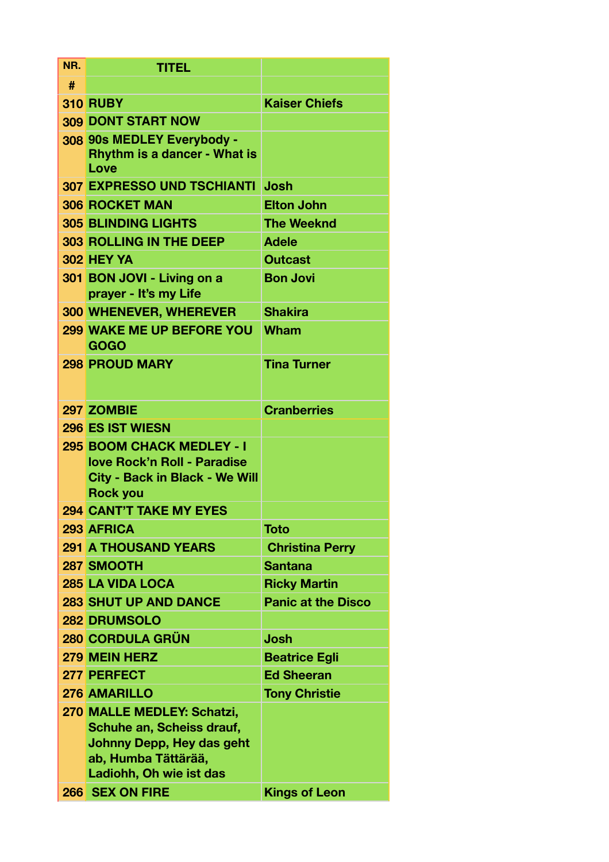| NR. | <b>TITEL</b>                                                                                                                           |                           |  |  |
|-----|----------------------------------------------------------------------------------------------------------------------------------------|---------------------------|--|--|
| #   |                                                                                                                                        |                           |  |  |
|     | <b>310 RUBY</b>                                                                                                                        | <b>Kaiser Chiefs</b>      |  |  |
|     | <b>309 DONT START NOW</b>                                                                                                              |                           |  |  |
|     | 308 90s MEDLEY Everybody -<br><b>Rhythm is a dancer - What is</b><br>Love                                                              |                           |  |  |
|     | <b>307 EXPRESSO UND TSCHIANTI</b>                                                                                                      | <b>Josh</b>               |  |  |
|     | <b>306 ROCKET MAN</b>                                                                                                                  | <b>Elton John</b>         |  |  |
|     | <b>305 BLINDING LIGHTS</b>                                                                                                             | <b>The Weeknd</b>         |  |  |
|     | <b>303 ROLLING IN THE DEEP</b>                                                                                                         | <b>Adele</b>              |  |  |
|     | <b>302 HEY YA</b>                                                                                                                      | <b>Outcast</b>            |  |  |
|     | 301 BON JOVI - Living on a<br>prayer - It's my Life                                                                                    | <b>Bon Jovi</b>           |  |  |
|     | <b>300 WHENEVER, WHEREVER</b>                                                                                                          | <b>Shakira</b>            |  |  |
|     | <b>299 WAKE ME UP BEFORE YOU</b><br><b>GOGO</b>                                                                                        | Wham                      |  |  |
|     | <b>298 PROUD MARY</b><br><b>Tina Turner</b>                                                                                            |                           |  |  |
|     | 297 ZOMBIE                                                                                                                             | <b>Cranberries</b>        |  |  |
|     | <b>296 ES IST WIESN</b>                                                                                                                |                           |  |  |
|     | 295 BOOM CHACK MEDLEY - I<br>love Rock'n Roll - Paradise<br><b>City - Back in Black - We Will</b><br><b>Rock you</b>                   |                           |  |  |
|     | <b>294 CANT'T TAKE MY EYES</b>                                                                                                         |                           |  |  |
|     | <b>293 AFRICA</b>                                                                                                                      | <b>Toto</b>               |  |  |
|     | <b>291 A THOUSAND YEARS</b>                                                                                                            | <b>Christina Perry</b>    |  |  |
|     | 287 SMOOTH                                                                                                                             | <b>Santana</b>            |  |  |
|     | <b>285 LA VIDA LOCA</b>                                                                                                                | <b>Ricky Martin</b>       |  |  |
|     | <b>283 SHUT UP AND DANCE</b>                                                                                                           | <b>Panic at the Disco</b> |  |  |
|     | <b>282 DRUMSOLO</b>                                                                                                                    |                           |  |  |
|     | <b>280 CORDULA GRÜN</b>                                                                                                                | <b>Josh</b>               |  |  |
|     | <b>279 MEIN HERZ</b><br><b>Beatrice Egli</b>                                                                                           |                           |  |  |
|     | 277 PERFECT                                                                                                                            | <b>Ed Sheeran</b>         |  |  |
|     | <b>276 AMARILLO</b>                                                                                                                    | <b>Tony Christie</b>      |  |  |
|     | 270 MALLE MEDLEY: Schatzi,<br>Schuhe an, Scheiss drauf,<br>Johnny Depp, Hey das geht<br>ab, Humba Tättärää,<br>Ladiohh, Oh wie ist das |                           |  |  |
|     | 266 SEX ON FIRE                                                                                                                        | <b>Kings of Leon</b>      |  |  |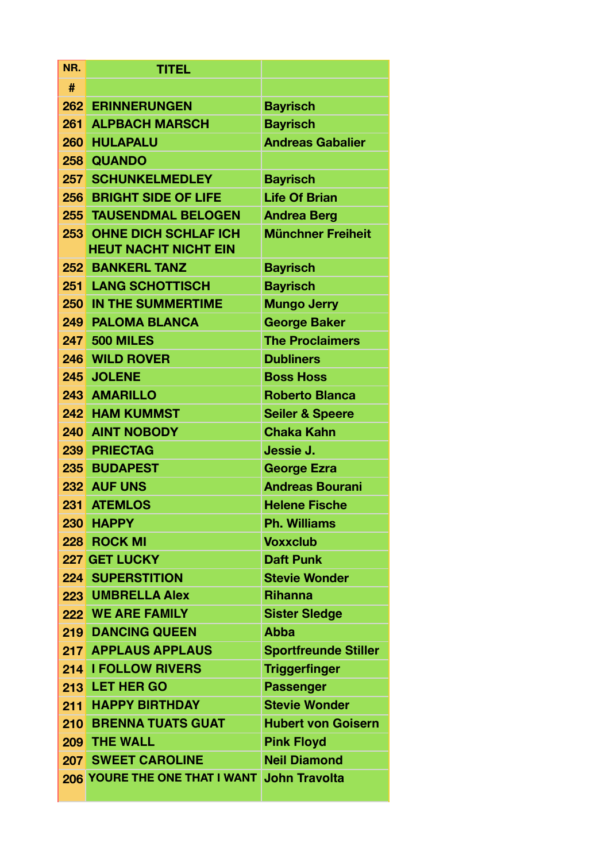| NR. | <b>TITEL</b>                                                   |                             |  |  |
|-----|----------------------------------------------------------------|-----------------------------|--|--|
| #   |                                                                |                             |  |  |
|     | <b>262 ERINNERUNGEN</b>                                        | <b>Bayrisch</b>             |  |  |
| 261 | <b>ALPBACH MARSCH</b><br><b>Bayrisch</b>                       |                             |  |  |
|     | <b>260 HULAPALU</b>                                            | <b>Andreas Gabalier</b>     |  |  |
|     | 258 QUANDO                                                     |                             |  |  |
|     | <b>257 SCHUNKELMEDLEY</b>                                      | <b>Bayrisch</b>             |  |  |
| 256 | <b>BRIGHT SIDE OF LIFE</b>                                     | <b>Life Of Brian</b>        |  |  |
|     | <b>255 TAUSENDMAL BELOGEN</b>                                  | <b>Andrea Berg</b>          |  |  |
|     | <b>253 OHNE DICH SCHLAF ICH</b><br><b>HEUT NACHT NICHT EIN</b> | <b>Münchner Freiheit</b>    |  |  |
|     | <b>252 BANKERL TANZ</b>                                        | <b>Bayrisch</b>             |  |  |
|     | <b>251 LANG SCHOTTISCH</b>                                     | <b>Bayrisch</b>             |  |  |
|     | <b>250 IN THE SUMMERTIME</b>                                   | <b>Mungo Jerry</b>          |  |  |
|     | <b>249 PALOMA BLANCA</b>                                       | <b>George Baker</b>         |  |  |
|     | <b>247 500 MILES</b>                                           | <b>The Proclaimers</b>      |  |  |
|     | 246 WILD ROVER                                                 | <b>Dubliners</b>            |  |  |
|     | 245 JOLENE<br><b>Boss Hoss</b>                                 |                             |  |  |
|     | <b>243 AMARILLO</b><br><b>Roberto Blanca</b>                   |                             |  |  |
|     | <b>242 HAM KUMMST</b>                                          | <b>Seiler &amp; Speere</b>  |  |  |
|     | <b>240 AINT NOBODY</b>                                         | <b>Chaka Kahn</b>           |  |  |
|     | 239 PRIECTAG                                                   | Jessie J.                   |  |  |
|     | 235 BUDAPEST                                                   | <b>George Ezra</b>          |  |  |
|     | 232 AUF UNS                                                    | <b>Andreas Bourani</b>      |  |  |
| 231 | <b>ATEMLOS</b>                                                 | <b>Helene Fische</b>        |  |  |
| 230 | <b>HAPPY</b>                                                   | <b>Ph. Williams</b>         |  |  |
|     | 228 ROCK MI                                                    | <b>Voxxclub</b>             |  |  |
|     | 227 GET LUCKY                                                  | <b>Daft Punk</b>            |  |  |
|     | <b>224 SUPERSTITION</b>                                        | <b>Stevie Wonder</b>        |  |  |
|     | 223 UMBRELLA Alex                                              | <b>Rihanna</b>              |  |  |
|     | <b>222 WE ARE FAMILY</b>                                       | <b>Sister Sledge</b>        |  |  |
|     | <b>219 DANCING QUEEN</b>                                       | <b>Abba</b>                 |  |  |
|     | <b>217 APPLAUS APPLAUS</b>                                     | <b>Sportfreunde Stiller</b> |  |  |
|     | 214 I FOLLOW RIVERS                                            | <b>Triggerfinger</b>        |  |  |
|     | 213 LET HER GO                                                 | <b>Passenger</b>            |  |  |
| 211 | <b>HAPPY BIRTHDAY</b>                                          | <b>Stevie Wonder</b>        |  |  |
|     | <b>210 BRENNA TUATS GUAT</b>                                   | <b>Hubert von Goisern</b>   |  |  |
|     | 209 THE WALL                                                   | <b>Pink Floyd</b>           |  |  |
|     | <b>207 SWEET CAROLINE</b>                                      | <b>Neil Diamond</b>         |  |  |
|     | 206 YOURE THE ONE THAT I WANT                                  | <b>John Travolta</b>        |  |  |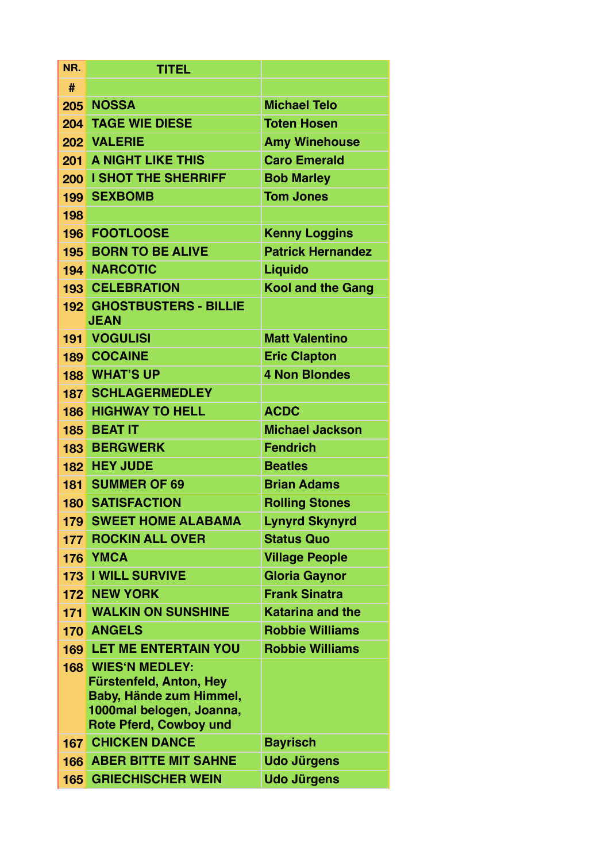| NR. | <b>TITEL</b>                                                                                                                                        |                          |  |  |
|-----|-----------------------------------------------------------------------------------------------------------------------------------------------------|--------------------------|--|--|
| #   |                                                                                                                                                     |                          |  |  |
|     | 205 NOSSA<br><b>Michael Telo</b>                                                                                                                    |                          |  |  |
| 204 | <b>TAGE WIE DIESE</b><br><b>Toten Hosen</b>                                                                                                         |                          |  |  |
|     | 202 VALERIE<br><b>Amy Winehouse</b>                                                                                                                 |                          |  |  |
| 201 | <b>A NIGHT LIKE THIS</b><br><b>Caro Emerald</b>                                                                                                     |                          |  |  |
| 200 | <b>I SHOT THE SHERRIFF</b>                                                                                                                          | <b>Bob Marley</b>        |  |  |
| 199 | <b>SEXBOMB</b>                                                                                                                                      | <b>Tom Jones</b>         |  |  |
| 198 |                                                                                                                                                     |                          |  |  |
| 196 | <b>FOOTLOOSE</b>                                                                                                                                    | <b>Kenny Loggins</b>     |  |  |
|     | <b>195 BORN TO BE ALIVE</b>                                                                                                                         | <b>Patrick Hernandez</b> |  |  |
|     | <b>194 NARCOTIC</b>                                                                                                                                 | Liquido                  |  |  |
|     | <b>193 CELEBRATION</b>                                                                                                                              | <b>Kool and the Gang</b> |  |  |
|     | 192 GHOSTBUSTERS - BILLIE<br><b>JEAN</b>                                                                                                            |                          |  |  |
|     | <b>191 VOGULISI</b>                                                                                                                                 | <b>Matt Valentino</b>    |  |  |
|     | <b>189 COCAINE</b>                                                                                                                                  | <b>Eric Clapton</b>      |  |  |
|     | <b>188 WHAT'S UP</b>                                                                                                                                | <b>4 Non Blondes</b>     |  |  |
|     | <b>187 SCHLAGERMEDLEY</b>                                                                                                                           |                          |  |  |
|     | <b>186 HIGHWAY TO HELL</b>                                                                                                                          | <b>ACDC</b>              |  |  |
|     | 185 BEAT IT                                                                                                                                         | <b>Michael Jackson</b>   |  |  |
|     | <b>183 BERGWERK</b>                                                                                                                                 | <b>Fendrich</b>          |  |  |
|     | 182 HEY JUDE                                                                                                                                        | <b>Beatles</b>           |  |  |
|     | 181 SUMMER OF 69                                                                                                                                    | <b>Brian Adams</b>       |  |  |
|     | <b>180 SATISFACTION</b>                                                                                                                             | <b>Rolling Stones</b>    |  |  |
|     | <b>179 SWEET HOME ALABAMA</b>                                                                                                                       | <b>Lynyrd Skynyrd</b>    |  |  |
|     | <b>177 ROCKIN ALL OVER</b>                                                                                                                          | <b>Status Quo</b>        |  |  |
|     | 176 YMCA                                                                                                                                            | <b>Village People</b>    |  |  |
|     | <b>173 I WILL SURVIVE</b>                                                                                                                           | <b>Gloria Gaynor</b>     |  |  |
|     | <b>172 NEW YORK</b>                                                                                                                                 | <b>Frank Sinatra</b>     |  |  |
| 171 | <b>WALKIN ON SUNSHINE</b>                                                                                                                           | <b>Katarina and the</b>  |  |  |
|     | <b>170 ANGELS</b>                                                                                                                                   | <b>Robbie Williams</b>   |  |  |
|     | <b>169 LET ME ENTERTAIN YOU</b>                                                                                                                     | <b>Robbie Williams</b>   |  |  |
|     | <b>168 WIES'N MEDLEY:</b><br><b>Fürstenfeld, Anton, Hey</b><br>Baby, Hände zum Himmel,<br>1000mal belogen, Joanna,<br><b>Rote Pferd, Cowboy und</b> |                          |  |  |
|     | <b>167 CHICKEN DANCE</b>                                                                                                                            | <b>Bayrisch</b>          |  |  |
|     | <b>166 ABER BITTE MIT SAHNE</b>                                                                                                                     | <b>Udo Jürgens</b>       |  |  |
| 165 | <b>GRIECHISCHER WEIN</b>                                                                                                                            | <b>Udo Jürgens</b>       |  |  |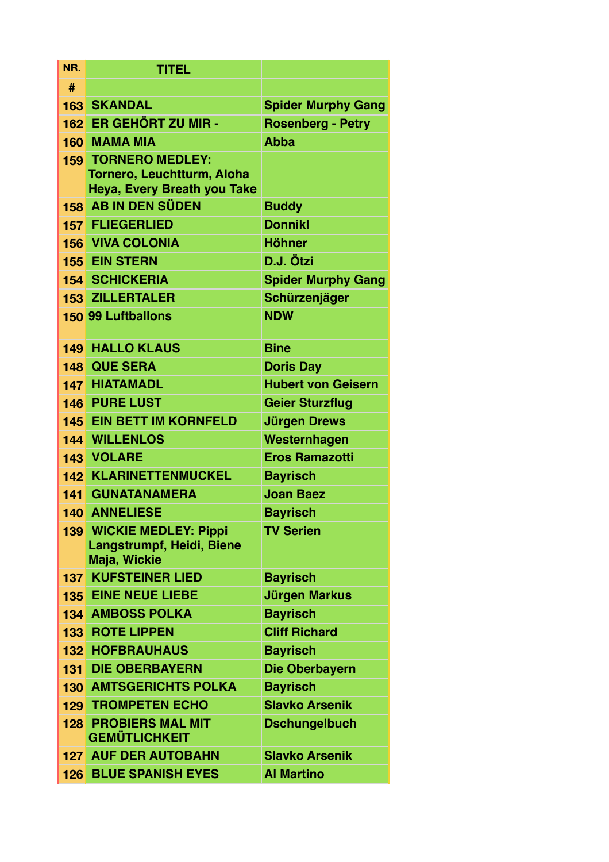| NR.   | <b>TITEL</b>                                       |                                |  |
|-------|----------------------------------------------------|--------------------------------|--|
| #     |                                                    |                                |  |
|       | <b>163 SKANDAL</b>                                 | <b>Spider Murphy Gang</b>      |  |
|       | 162 ER GEHÖRT ZU MIR -                             | <b>Rosenberg - Petry</b>       |  |
|       | <b>160 MAMA MIA</b>                                | <b>Abba</b>                    |  |
|       | <b>159 TORNERO MEDLEY:</b>                         |                                |  |
|       | <b>Tornero, Leuchtturm, Aloha</b>                  |                                |  |
|       | Heya, Every Breath you Take<br>158 AB IN DEN SÜDEN |                                |  |
|       | <b>157 FLIEGERLIED</b>                             | <b>Buddy</b><br><b>Donnikl</b> |  |
|       | <b>156 VIVA COLONIA</b>                            | <b>Höhner</b>                  |  |
|       | <b>155 EIN STERN</b>                               | D.J. Ötzi                      |  |
|       | <b>154 SCHICKERIA</b>                              | <b>Spider Murphy Gang</b>      |  |
|       | <b>153 ZILLERTALER</b>                             | Schürzenjäger                  |  |
|       | <b>150 99 Luftballons</b>                          | <b>NDW</b>                     |  |
|       |                                                    |                                |  |
|       | <b>149 HALLO KLAUS</b>                             | <b>Bine</b>                    |  |
|       | <b>148 QUE SERA</b>                                | <b>Doris Day</b>               |  |
|       | <b>147 HIATAMADL</b>                               | <b>Hubert von Geisern</b>      |  |
|       | <b>146 PURE LUST</b>                               | <b>Geier Sturzflug</b>         |  |
|       | <b>145 EIN BETT IM KORNFELD</b>                    | <b>Jürgen Drews</b>            |  |
|       | <b>144 WILLENLOS</b>                               | Westernhagen                   |  |
|       | 143 VOLARE                                         | <b>Eros Ramazotti</b>          |  |
|       | <b>142 KLARINETTENMUCKEL</b>                       | <b>Bayrisch</b>                |  |
| 141   | <b>GUNATANAMERA</b>                                | <b>Joan Baez</b>               |  |
|       | <b>140 ANNELIESE</b>                               | <b>Bayrisch</b>                |  |
|       | <b>139 WICKIE MEDLEY: Pippi</b>                    | <b>TV Serien</b>               |  |
|       | <b>Langstrumpf, Heidi, Biene</b><br>Maja, Wickie   |                                |  |
|       | <b>137 KUFSTEINER LIED</b>                         | <b>Bayrisch</b>                |  |
|       | <b>135 EINE NEUE LIEBE</b>                         | <b>Jürgen Markus</b>           |  |
|       | <b>134 AMBOSS POLKA</b>                            | <b>Bayrisch</b>                |  |
|       | <b>133 ROTE LIPPEN</b>                             | <b>Cliff Richard</b>           |  |
|       | <b>132 HOFBRAUHAUS</b>                             | <b>Bayrisch</b>                |  |
| $131$ | <b>DIE OBERBAYERN</b>                              | Die Oberbayern                 |  |
|       | <b>130 AMTSGERICHTS POLKA</b>                      | <b>Bayrisch</b>                |  |
|       | <b>129 TROMPETEN ECHO</b>                          | <b>Slavko Arsenik</b>          |  |
|       | <b>128 PROBIERS MAL MIT</b>                        | <b>Dschungelbuch</b>           |  |
|       | <b>GEMÜTLICHKEIT</b>                               |                                |  |
|       | <b>127 AUF DER AUTOBAHN</b>                        | <b>Slavko Arsenik</b>          |  |
| 126   | <b>BLUE SPANISH EYES</b>                           | <b>Al Martino</b>              |  |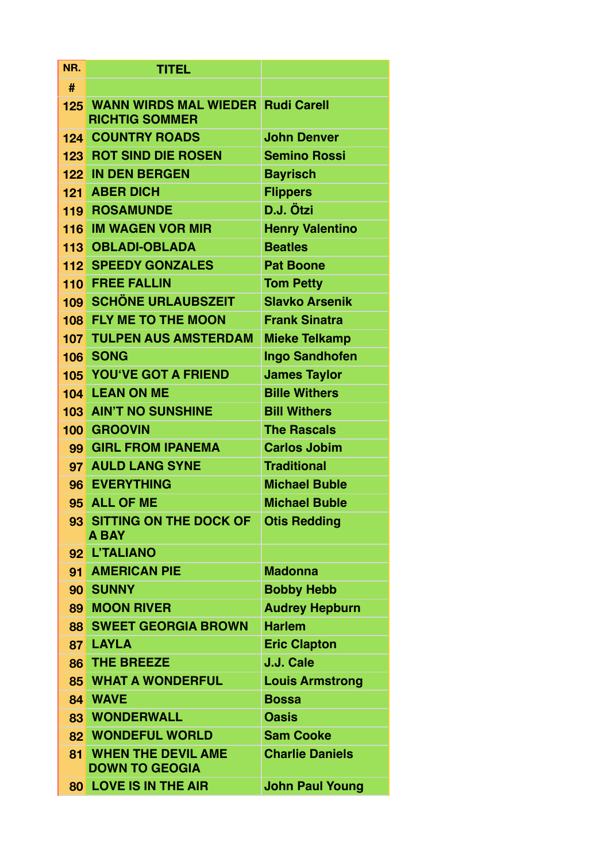| NR.             | <b>TITEL</b>                                                                 |                        |  |  |
|-----------------|------------------------------------------------------------------------------|------------------------|--|--|
| #               |                                                                              |                        |  |  |
|                 | 125 WANN WIRDS MAL WIEDER Rudi Carell<br><b>RICHTIG SOMMER</b>               |                        |  |  |
|                 | <b>124 COUNTRY ROADS</b>                                                     | <b>John Denver</b>     |  |  |
|                 | <b>123 ROT SIND DIE ROSEN</b>                                                | <b>Semino Rossi</b>    |  |  |
|                 | 122 IN DEN BERGEN                                                            | <b>Bayrisch</b>        |  |  |
|                 | 121 ABER DICH                                                                | <b>Flippers</b>        |  |  |
|                 | <b>119 ROSAMUNDE</b>                                                         | D.J. Ötzi              |  |  |
|                 | 116 IM WAGEN VOR MIR                                                         | <b>Henry Valentino</b> |  |  |
|                 | 113 OBLADI-OBLADA                                                            | <b>Beatles</b>         |  |  |
|                 | <b>112 SPEEDY GONZALES</b>                                                   | <b>Pat Boone</b>       |  |  |
|                 | <b>110 FREE FALLIN</b>                                                       | <b>Tom Petty</b>       |  |  |
|                 | <b>109 SCHÖNE URLAUBSZEIT</b>                                                | <b>Slavko Arsenik</b>  |  |  |
|                 | 108 FLY ME TO THE MOON                                                       | <b>Frank Sinatra</b>   |  |  |
| 107             | <b>TULPEN AUS AMSTERDAM</b>                                                  | <b>Mieke Telkamp</b>   |  |  |
| 106             | <b>SONG</b><br><b>Ingo Sandhofen</b>                                         |                        |  |  |
|                 | <b>105 YOU'VE GOT A FRIEND</b>                                               | <b>James Taylor</b>    |  |  |
|                 | <b>104 LEAN ON ME</b>                                                        | <b>Bille Withers</b>   |  |  |
|                 | <b>103 AIN'T NO SUNSHINE</b><br><b>Bill Withers</b>                          |                        |  |  |
|                 | 100 GROOVIN                                                                  | <b>The Rascals</b>     |  |  |
|                 | 99 GIRL FROM IPANEMA                                                         | <b>Carlos Jobim</b>    |  |  |
|                 | 97 AULD LANG SYNE                                                            | <b>Traditional</b>     |  |  |
|                 | 96 EVERYTHING                                                                | <b>Michael Buble</b>   |  |  |
|                 | 95 ALL OF ME                                                                 | <b>Michael Buble</b>   |  |  |
|                 | 93 SITTING ON THE DOCK OF Otis Redding<br><b>A BAY</b>                       |                        |  |  |
|                 | 92 L'TALIANO                                                                 |                        |  |  |
|                 | 91 AMERICAN PIE                                                              | <b>Madonna</b>         |  |  |
|                 | 90 SUNNY                                                                     | <b>Bobby Hebb</b>      |  |  |
|                 | <b>89 MOON RIVER</b>                                                         | <b>Audrey Hepburn</b>  |  |  |
|                 | <b>88 SWEET GEORGIA BROWN</b>                                                | <b>Harlem</b>          |  |  |
|                 | 87 LAYLA                                                                     | <b>Eric Clapton</b>    |  |  |
|                 | <b>86 THE BREEZE</b>                                                         | J.J. Cale              |  |  |
| 85 <sup>1</sup> | <b>WHAT A WONDERFUL</b>                                                      | <b>Louis Armstrong</b> |  |  |
|                 | 84 WAVE                                                                      | <b>Bossa</b>           |  |  |
|                 | <b>83 WONDERWALL</b>                                                         | <b>Oasis</b>           |  |  |
|                 | 82 WONDEFUL WORLD                                                            | <b>Sam Cooke</b>       |  |  |
| 81              | <b>WHEN THE DEVIL AME</b><br><b>Charlie Daniels</b><br><b>DOWN TO GEOGIA</b> |                        |  |  |
|                 | 80 LOVE IS IN THE AIR                                                        | <b>John Paul Young</b> |  |  |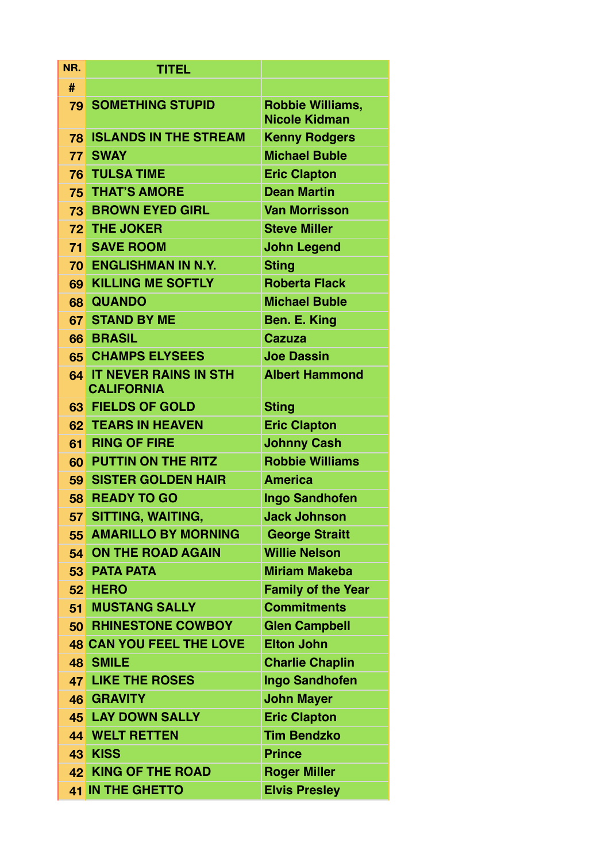| NR.             | <b>TITEL</b>                                  |                                                 |  |  |  |
|-----------------|-----------------------------------------------|-------------------------------------------------|--|--|--|
| #               |                                               |                                                 |  |  |  |
|                 | <b>79 SOMETHING STUPID</b>                    | <b>Robbie Williams,</b><br><b>Nicole Kidman</b> |  |  |  |
| 78              | <b>ISLANDS IN THE STREAM</b>                  | <b>Kenny Rodgers</b>                            |  |  |  |
| 77              | <b>SWAY</b>                                   | <b>Michael Buble</b>                            |  |  |  |
| 76              | <b>TULSA TIME</b>                             | <b>Eric Clapton</b>                             |  |  |  |
|                 | <b>75 THAT'S AMORE</b>                        | <b>Dean Martin</b>                              |  |  |  |
| 73              | <b>BROWN EYED GIRL</b>                        | <b>Van Morrisson</b>                            |  |  |  |
|                 | 72 THE JOKER                                  | <b>Steve Miller</b>                             |  |  |  |
| 71              | <b>SAVE ROOM</b>                              | <b>John Legend</b>                              |  |  |  |
|                 | <b>70 ENGLISHMAN IN N.Y.</b>                  | <b>Sting</b>                                    |  |  |  |
| 69              | <b>KILLING ME SOFTLY</b>                      | <b>Roberta Flack</b>                            |  |  |  |
|                 | 68 QUANDO                                     | <b>Michael Buble</b>                            |  |  |  |
| 67              | <b>STAND BY ME</b>                            | Ben. E. King                                    |  |  |  |
|                 | 66 BRASIL                                     | <b>Cazuza</b>                                   |  |  |  |
|                 | <b>65 CHAMPS ELYSEES</b>                      | <b>Joe Dassin</b>                               |  |  |  |
|                 | 64 IT NEVER RAINS IN STH<br><b>CALIFORNIA</b> | <b>Albert Hammond</b>                           |  |  |  |
| 63              | <b>FIELDS OF GOLD</b>                         | <b>Sting</b>                                    |  |  |  |
| 62              | <b>TEARS IN HEAVEN</b>                        | <b>Eric Clapton</b>                             |  |  |  |
| 61              | <b>RING OF FIRE</b>                           | <b>Johnny Cash</b>                              |  |  |  |
|                 | <b>60 PUTTIN ON THE RITZ</b>                  | <b>Robbie Williams</b>                          |  |  |  |
|                 | 59 SISTER GOLDEN HAIR                         | <b>America</b>                                  |  |  |  |
| 58              | <b>READY TO GO</b>                            | <b>Ingo Sandhofen</b>                           |  |  |  |
| 57              | <b>SITTING, WAITING,</b>                      | <b>Jack Johnson</b>                             |  |  |  |
| 55 <sub>5</sub> | <b>AMARILLO BY MORNING</b>                    | <b>George Straitt</b>                           |  |  |  |
|                 | 54 ON THE ROAD AGAIN                          | <b>Willie Nelson</b>                            |  |  |  |
|                 | <b>53 PATA PATA</b>                           | <b>Miriam Makeba</b>                            |  |  |  |
|                 | 52 HERO                                       | <b>Family of the Year</b>                       |  |  |  |
| 51              | <b>MUSTANG SALLY</b>                          | <b>Commitments</b>                              |  |  |  |
|                 | <b>50 RHINESTONE COWBOY</b>                   | <b>Glen Campbell</b>                            |  |  |  |
|                 | <b>48 CAN YOU FEEL THE LOVE</b>               | <b>Elton John</b>                               |  |  |  |
| 48              | <b>SMILE</b>                                  | <b>Charlie Chaplin</b>                          |  |  |  |
| 47              | <b>LIKE THE ROSES</b>                         | <b>Ingo Sandhofen</b>                           |  |  |  |
|                 | 46 GRAVITY                                    | <b>John Mayer</b>                               |  |  |  |
| 45              | <b>LAY DOWN SALLY</b>                         | <b>Eric Clapton</b>                             |  |  |  |
| 44              | <b>WELT RETTEN</b>                            | <b>Tim Bendzko</b>                              |  |  |  |
|                 | 43 KISS                                       | <b>Prince</b>                                   |  |  |  |
|                 | <b>42 KING OF THE ROAD</b>                    | <b>Roger Miller</b>                             |  |  |  |
|                 | <b>41 IN THE GHETTO</b>                       | <b>Elvis Presley</b>                            |  |  |  |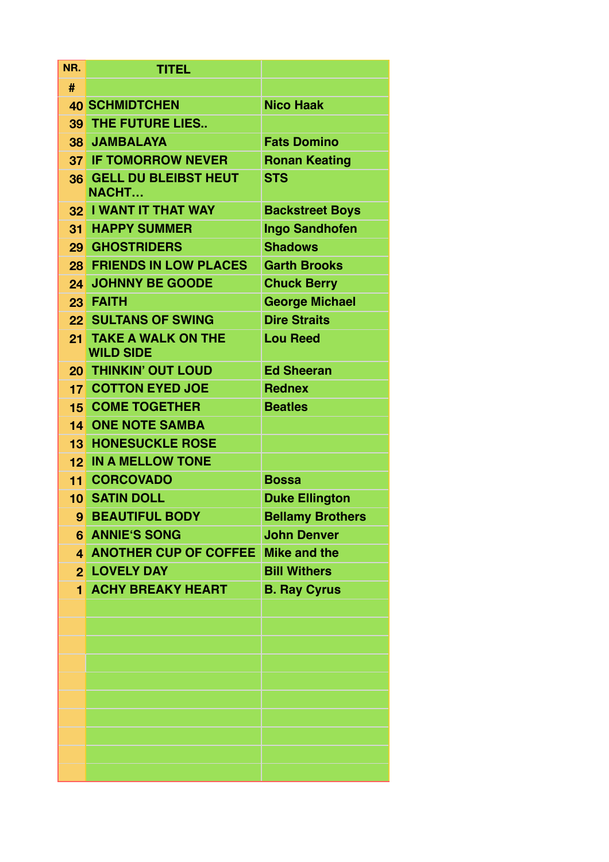| NR.             | <b>TITEL</b>                                                     |                         |  |  |  |
|-----------------|------------------------------------------------------------------|-------------------------|--|--|--|
| #               |                                                                  |                         |  |  |  |
|                 | <b>40 SCHMIDTCHEN</b>                                            | <b>Nico Haak</b>        |  |  |  |
| 39              | THE FUTURE LIES                                                  |                         |  |  |  |
|                 | <b>38 JAMBALAYA</b><br><b>Fats Domino</b>                        |                         |  |  |  |
|                 | <b>37 IF TOMORROW NEVER</b><br><b>Ronan Keating</b>              |                         |  |  |  |
| 36 <sup>°</sup> | <b>GELL DU BLEIBST HEUT</b><br><b>NACHT</b>                      | <b>STS</b>              |  |  |  |
| 32 <sub>2</sub> | <b>I WANT IT THAT WAY</b>                                        | <b>Backstreet Boys</b>  |  |  |  |
| 31              | <b>HAPPY SUMMER</b>                                              | <b>Ingo Sandhofen</b>   |  |  |  |
|                 | <b>29 GHOSTRIDERS</b>                                            | <b>Shadows</b>          |  |  |  |
|                 | <b>28 FRIENDS IN LOW PLACES</b>                                  | <b>Garth Brooks</b>     |  |  |  |
| 24              | <b>JOHNNY BE GOODE</b>                                           | <b>Chuck Berry</b>      |  |  |  |
|                 | 23 FAITH                                                         | <b>George Michael</b>   |  |  |  |
| 22              | <b>SULTANS OF SWING</b>                                          | <b>Dire Straits</b>     |  |  |  |
| 21              | <b>TAKE A WALK ON THE</b><br><b>Lou Reed</b><br><b>WILD SIDE</b> |                         |  |  |  |
| 20 <sub>1</sub> | <b>THINKIN' OUT LOUD</b>                                         | <b>Ed Sheeran</b>       |  |  |  |
|                 | <b>17 COTTON EYED JOE</b>                                        | <b>Rednex</b>           |  |  |  |
|                 | <b>15 COME TOGETHER</b><br><b>Beatles</b>                        |                         |  |  |  |
|                 | <b>14 ONE NOTE SAMBA</b>                                         |                         |  |  |  |
| 13              | <b>HONESUCKLE ROSE</b>                                           |                         |  |  |  |
| 12              | <b>IN A MELLOW TONE</b>                                          |                         |  |  |  |
|                 | <b>11 CORCOVADO</b>                                              | <b>Bossa</b>            |  |  |  |
|                 | <b>10 SATIN DOLL</b>                                             | <b>Duke Ellington</b>   |  |  |  |
| 9               | <b>BEAUTIFUL BODY</b>                                            | <b>Bellamy Brothers</b> |  |  |  |
|                 | <b>6 ANNIE'S SONG</b>                                            | <b>John Denver</b>      |  |  |  |
|                 | 4 ANOTHER CUP OF COFFEE Mike and the                             |                         |  |  |  |
|                 | <b>2 LOVELY DAY</b>                                              | <b>Bill Withers</b>     |  |  |  |
|                 | <b>1 ACHY BREAKY HEART</b><br><b>B. Ray Cyrus</b>                |                         |  |  |  |
|                 |                                                                  |                         |  |  |  |
|                 |                                                                  |                         |  |  |  |
|                 |                                                                  |                         |  |  |  |
|                 |                                                                  |                         |  |  |  |
|                 |                                                                  |                         |  |  |  |
|                 |                                                                  |                         |  |  |  |
|                 |                                                                  |                         |  |  |  |
|                 |                                                                  |                         |  |  |  |
|                 |                                                                  |                         |  |  |  |
|                 |                                                                  |                         |  |  |  |